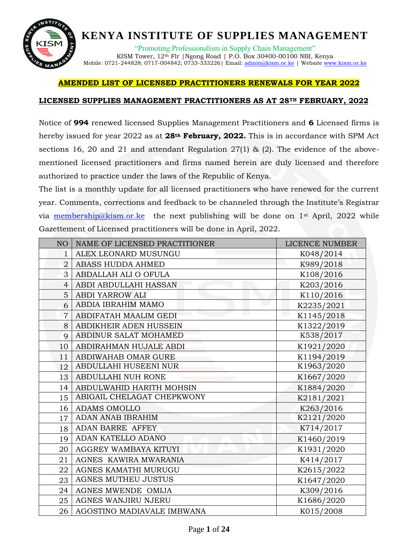

"Promoting Professionalism in Supply Chain Management" KISM Tower, 12th Flr |Ngong Road | P.O. Box 30400-00100 NBI, Kenya Mobile: 0721-244828; 0717-004842; 0733-333226| Email[: admin@kism.or.ke](mailto:admin@kism.or.ke) | Website [www.kism.or.ke](http://www.kism.or.ke/)

#### **AMENDED LIST OF LICENSED PRACTITIONERS RENEWALS FOR YEAR 2022**

#### **LICENSED SUPPLIES MANAGEMENT PRACTITIONERS AS AT 28TH FEBRUARY, 2022**

Notice of **994** renewed licensed Supplies Management Practitioners and **6** Licensed firms is hereby issued for year 2022 as at **28th February, 2022.** This is in accordance with SPM Act sections 16, 20 and 21 and attendant Regulation  $27(1)$  & (2). The evidence of the abovementioned licensed practitioners and firms named herein are duly licensed and therefore authorized to practice under the laws of the Republic of Kenya.

The list is a monthly update for all licensed practitioners who have renewed for the current year. Comments, corrections and feedback to be channeled through the Institute's Registrar via [membership@kism.or.ke](mailto:membership@kism.or.ke) the next publishing will be done on 1<sup>st</sup> April, 2022 while Gazettement of Licensed practitioners will be done in April, 2022.

| NO             | NAME OF LICENSED PRACTITIONER | <b>LICENCE NUMBER</b> |
|----------------|-------------------------------|-----------------------|
| 1              | ALEX LEONARD MUSUNGU          | K048/2014             |
| $\overline{2}$ | ABASS HUDDA AHMED             | K989/2018             |
| 3              | ABDALLAH ALI O OFULA          | K108/2016             |
| $\overline{4}$ | ABDI ABDULLAHI HASSAN         | K203/2016             |
| 5              | <b>ABDI YARROW ALI</b>        | K110/2016             |
| 6              | ABDIA IBRAHIM MAMO            | K2235/2021            |
| $\overline{7}$ | ABDIFATAH MAALIM GEDI         | K1145/2018            |
| 8              | ABDIKHEIR ADEN HUSSEIN        | K1322/2019            |
| 9              | ABDINUR SALAT MOHAMED         | K538/2017             |
| 10             | ABDIRAHMAN HUJALE ABDI        | K1921/2020            |
| 11             | ABDIWAHAB OMAR GURE           | K1194/2019            |
| 12             | ABDULLAHI HUSEENI NUR         | K1963/2020            |
| 13             | ABDULLAHI NUH RONE            | K1667/2020            |
| 14             | ABDULWAHID HARITH MOHSIN      | K1884/2020            |
| 15             | ABIGAIL CHELAGAT CHEPKWONY    | K2181/2021            |
| 16             | <b>ADAMS OMOLLO</b>           | K263/2016             |
| 17             | <b>ADAN ANAB IBRAHIM</b>      | K2121/2020            |
| 18             | ADAN BARRE AFFEY              | K714/2017             |
| 19             | ADAN KATELLO ADANO            | K1460/2019            |
| 20             | AGGREY WAMBAYA KITUYI         | K1931/2020            |
| 21             | AGNES KAWIRA MWARANIA         | K414/2017             |
| 22             | AGNES KAMATHI MURUGU          | K2615/2022            |
| 23             | <b>AGNES MUTHEU JUSTUS</b>    | K1647/2020            |
| 24             | AGNES MWENDE OMIJA            | K309/2016             |
| 25             | AGNES WANJIRU NJERU           | K1686/2020            |
| 26             | AGOSTINO MADIAVALE IMBWANA    | K015/2008             |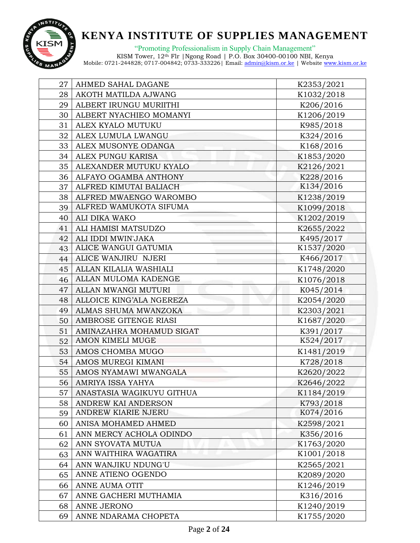

"Promoting Professionalism in Supply Chain Management"

| 27 | AHMED SAHAL DAGANE        | K2353/2021 |
|----|---------------------------|------------|
| 28 | AKOTH MATILDA AJWANG      | K1032/2018 |
| 29 | ALBERT IRUNGU MURIITHI    | K206/2016  |
| 30 | ALBERT NYACHIEO MOMANYI   | K1206/2019 |
| 31 | ALEX KYALO MUTUKU         | K985/2018  |
| 32 | ALEX LUMULA LWANGU        | K324/2016  |
| 33 | ALEX MUSONYE ODANGA       | K168/2016  |
| 34 | ALEX PUNGU KARISA         | K1853/2020 |
| 35 | ALEXANDER MUTUKU KYALO    | K2126/2021 |
| 36 | ALFAYO OGAMBA ANTHONY     | K228/2016  |
| 37 | ALFRED KIMUTAI BALIACH    | K134/2016  |
| 38 | ALFRED MWAENGO WAROMBO    | K1238/2019 |
| 39 | ALFRED WAMUKOTA SIFUMA    | K1099/2018 |
| 40 | ALI DIKA WAKO             | K1202/2019 |
| 41 | ALI HAMISI MATSUDZO       | K2655/2022 |
| 42 | ALI IDDI MWIN'JAKA        | K495/2017  |
| 43 | ALICE WANGUI GATUMIA      | K1537/2020 |
|    | 44 ALICE WANJIRU NJERI    | K466/2017  |
| 45 | ALLAN KILALIA WASHIALI    | K1748/2020 |
| 46 | ALLAN MULOMA KADENGE      | K1076/2018 |
| 47 | ALLAN MWANGI MUTURI       | K045/2014  |
| 48 | ALLOICE KING'ALA NGEREZA  | K2054/2020 |
| 49 | ALMAS SHUMA MWANZOKA      | K2303/2021 |
| 50 | AMBROSE GITENGE RIASI     | K1687/2020 |
| 51 | AMINAZAHRA MOHAMUD SIGAT  | K391/2017  |
| 52 | <b>AMON KIMELI MUGE</b>   | K524/2017  |
| 53 | <b>AMOS CHOMBA MUGO</b>   | K1481/2019 |
| 54 | AMOS MUREGI KIMANI        | K728/2018  |
| 55 | AMOS NYAMAWI MWANGALA     | K2620/2022 |
| 56 | AMRIYA ISSA YAHYA         | K2646/2022 |
| 57 | ANASTASIA WAGIKUYU GITHUA | K1184/2019 |
| 58 | ANDREW KAI ANDERSON       | K793/2018  |
| 59 | ANDREW KIARIE NJERU       | K074/2016  |
| 60 | ANISA MOHAMED AHMED       | K2598/2021 |
| 61 | ANN MERCY ACHOLA ODINDO   | K356/2016  |
| 62 | ANN SYOVATA MUTUA         | K1763/2020 |
| 63 | ANN WAITHIRA WAGATIRA     | K1001/2018 |
| 64 | ANN WANJIKU NDUNG'U       | K2565/2021 |
| 65 | ANNE ATIENO OGENDO        | K2089/2020 |
| 66 | ANNE AUMA OTIT            | K1246/2019 |
| 67 | ANNE GACHERI MUTHAMIA     | K316/2016  |
| 68 | ANNE JERONO               | K1240/2019 |
| 69 | ANNE NDARAMA CHOPETA      | K1755/2020 |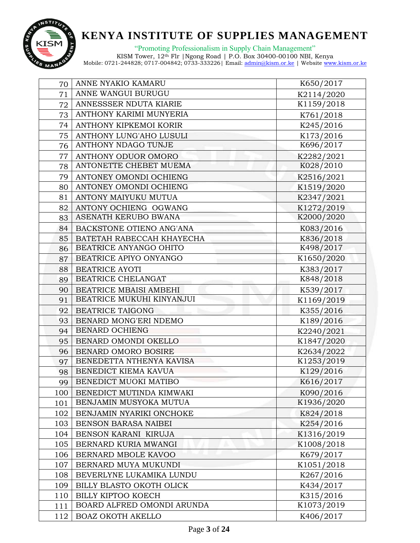

"Promoting Professionalism in Supply Chain Management"

| 70  | ANNE NYAKIO KAMARU         | K650/2017  |
|-----|----------------------------|------------|
| 71  | ANNE WANGUI BURUGU         | K2114/2020 |
| 72  | ANNESSSER NDUTA KIARIE     | K1159/2018 |
| 73  | ANTHONY KARIMI MUNYERIA    | K761/2018  |
| 74  | ANTHONY KIPKEMOI KORIR     | K245/2016  |
| 75  | ANTHONY LUNG'AHO LUSULI    | K173/2016  |
| 76  | ANTHONY NDAGO TUNJE        | K696/2017  |
| 77  | ANTHONY ODUOR OMORO        | K2282/2021 |
| 78  | ANTONETTE CHEBET MUEMA     | K028/2010  |
| 79  | ANTONEY OMONDI OCHIENG     | K2516/2021 |
| 80  | ANTONEY OMONDI OCHIENG     | K1519/2020 |
| 81  | ANTONY MAIYUKU MUTUA       | K2347/2021 |
| 82  | ANTONY OCHIENG OGWANG      | K1272/2019 |
| 83  | ASENATH KERUBO BWANA       | K2000/2020 |
| 84  | BACKSTONE OTIENO ANG'ANA   | K083/2016  |
| 85  | BATETAH RABECCAH KHAYECHA  | K836/2018  |
| 86  | BEATRICE ANYANGO OHITO     | K498/2017  |
|     | 87 BEATRICE APIYO ONYANGO  | K1650/2020 |
| 88  | <b>BEATRICE AYOTI</b>      | K383/2017  |
| 89  | BEATRICE CHELANGAT         | K848/2018  |
| 90  | BEATRICE MBAISI AMBEHI     | K539/2017  |
| 91  | BEATRICE MUKUHI KINYANJUI  | K1169/2019 |
| 92  | <b>BEATRICE TAIGONG</b>    | K355/2016  |
| 93  | BENARD MONG'ERI NDEMO      | K189/2016  |
| 94  | <b>BENARD OCHIENG</b>      | K2240/2021 |
|     | 95   BENARD OMONDI OKELLO  | K1847/2020 |
| 96  | BENARD OMORO BOSIRE        | K2634/2022 |
| 97  | BENEDETTA NTHENYA KAVISA   | K1253/2019 |
| 98  | BENEDICT KIEMA KAVUA       | K129/2016  |
| 99  | BENEDICT MUOKI MATIBO      | K616/2017  |
| 100 | BENEDICT MUTINDA KIMWAKI   | K090/2016  |
| 101 | BENJAMIN MUSYOKA MUTUA     | K1936/2020 |
| 102 | BENJAMIN NYARIKI ONCHOKE   | K824/2018  |
| 103 | BENSON BARASA NAIBEI       | K254/2016  |
| 104 | BENSON KARANI KIRUJA       | K1316/2019 |
| 105 | BERNARD KURIA MWANGI       | K1008/2018 |
| 106 | BERNARD MBOLE KAVOO        | K679/2017  |
| 107 | BERNARD MUYA MUKUNDI       | K1051/2018 |
| 108 | BEVERLYNE LUKAMIKA LUNDU   | K267/2016  |
| 109 | BILLY BLASTO OKOTH OLICK   | K434/2017  |
| 110 | <b>BILLY KIPTOO KOECH</b>  | K315/2016  |
| 111 | BOARD ALFRED OMONDI ARUNDA | K1073/2019 |
| 112 | <b>BOAZ OKOTH AKELLO</b>   | K406/2017  |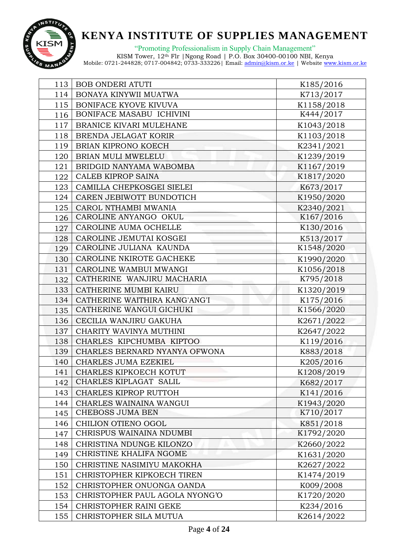

"Promoting Professionalism in Supply Chain Management"

| 113 | <b>BOB ONDERI ATUTI</b>         | K185/2016  |
|-----|---------------------------------|------------|
| 114 | BONAYA KINYWII MUATWA           | K713/2017  |
| 115 | <b>BONIFACE KYOVE KIVUVA</b>    | K1158/2018 |
| 116 | BONIFACE MASABU ICHIVINI        | K444/2017  |
| 117 | <b>BRANICE KIVARI MULEHANE</b>  | K1043/2018 |
| 118 | <b>BRENDA JELAGAT KORIR</b>     | K1103/2018 |
| 119 | BRIAN KIPRONO KOECH             | K2341/2021 |
| 120 | BRIAN MULI MWELELU              | K1239/2019 |
| 121 | BRIDGID NANYAMA WABOMBA         | K1167/2019 |
| 122 | <b>CALEB KIPROP SAINA</b>       | K1817/2020 |
| 123 | CAMILLA CHEPKOSGEI SIELEI       | K673/2017  |
| 124 | CAREN JEBIWOTT BUNDOTICH        | K1950/2020 |
| 125 | CAROL NTHAMBI MWANIA            | K2340/2021 |
| 126 | CAROLINE ANYANGO OKUL           | K167/2016  |
| 127 | CAROLINE AUMA OCHELLE           | K130/2016  |
| 128 | CAROLINE JEMUTAI KOSGEI         | K513/2017  |
| 129 | CAROLINE JULIANA KAUNDA         | K1548/2020 |
| 130 | <b>CAROLINE NKIROTE GACHEKE</b> | K1990/2020 |
| 131 | CAROLINE WAMBUI MWANGI          | K1056/2018 |
| 132 | CATHERINE WANJIRU MACHARIA      | K795/2018  |
| 133 | CATHERINE MUMBI KAIRU           | K1320/2019 |
| 134 | CATHERINE WAITHIRA KANG'ANG'I   | K175/2016  |
| 135 | CATHERINE WANGUI GICHUKI        | K1566/2020 |
| 136 | CECILIA WANJIRU GAKUHA          | K2671/2022 |
| 137 | CHARITY WAVINYA MUTHINI         | K2647/2022 |
|     | 138   CHARLES KIPCHUMBA KIPTOO  | K119/2016  |
| 139 | CHARLES BERNARD NYANYA OFWONA   | K883/2018  |
| 140 | CHARLES JUMA EZEKIEL            | K205/2016  |
| 141 | CHARLES KIPKOECH KOTUT          | K1208/2019 |
| 142 | CHARLES KIPLAGAT SALIL          | K682/2017  |
| 143 | CHARLES KIPROP RUTTOH           | K141/2016  |
| 144 | CHARLES WAINAINA WANGUI         | K1943/2020 |
| 145 | <b>CHEBOSS JUMA BEN</b>         | K710/2017  |
| 146 | CHILION OTIENO OGOL             | K851/2018  |
| 147 | CHRISPUS WAINAINA NDUMBI        | K1792/2020 |
| 148 | CHRISTINA NDUNGE KILONZO        | K2660/2022 |
| 149 | CHRISTINE KHALIFA NGOME         | K1631/2020 |
| 150 | CHRISTINE NASIMIYU MAKOKHA      | K2627/2022 |
| 151 | CHRISTOPHER KIPKOECH TIREN      | K1474/2019 |
| 152 | CHRISTOPHER ONUONGA OANDA       | K009/2008  |
| 153 | CHRISTOPHER PAUL AGOLA NYONG'O  | K1720/2020 |
| 154 | CHRISTOPHER RAINI GEKE          | K234/2016  |
| 155 | CHRISTOPHER SILA MUTUA          | K2614/2022 |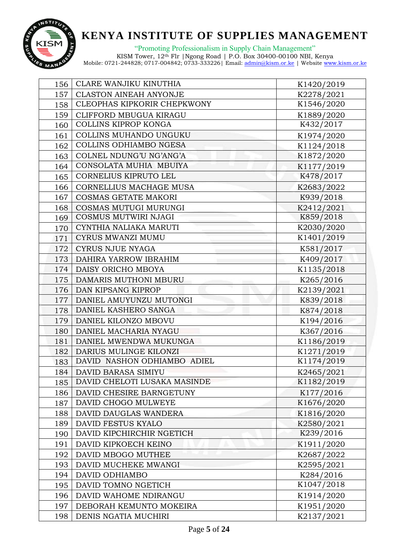

"Promoting Professionalism in Supply Chain Management"

| 156 | CLARE WANJIKU KINUTHIA             | K1420/2019 |
|-----|------------------------------------|------------|
| 157 | <b>CLASTON AINEAH ANYONJE</b>      | K2278/2021 |
| 158 | <b>CLEOPHAS KIPKORIR CHEPKWONY</b> | K1546/2020 |
| 159 | CLIFFORD MBUGUA KIRAGU             | K1889/2020 |
| 160 | COLLINS KIPROP KONGA               | K432/2017  |
| 161 | COLLINS MUHANDO UNGUKU             | K1974/2020 |
| 162 | COLLINS ODHIAMBO NGESA             | K1124/2018 |
| 163 | COLNEL NDUNG'U NG'ANG'A            | K1872/2020 |
| 164 | CONSOLATA MUHIA MBUIYA             | K1177/2019 |
| 165 | CORNELIUS KIPRUTO LEL              | K478/2017  |
| 166 | CORNELLIUS MACHAGE MUSA            | K2683/2022 |
| 167 | <b>COSMAS GETATE MAKORI</b>        | K939/2018  |
| 168 | COSMAS MUTUGI MURUNGI              | K2412/2021 |
| 169 | COSMUS MUTWIRI NJAGI               | K859/2018  |
| 170 | CYNTHIA NALIAKA MARUTI             | K2030/2020 |
| 171 | <b>CYRUS MWANZI MUMU</b>           | K1401/2019 |
| 172 | <b>CYRUS NJUE NYAGA</b>            | K581/2017  |
|     | 173   DAHIRA YARROW IBRAHIM        | K409/2017  |
| 174 | DAISY ORICHO MBOYA                 | K1135/2018 |
| 175 | DAMARIS MUTHONI MBURU              | K265/2016  |
|     | 176   DAN KIPSANG KIPROP           | K2139/2021 |
| 177 | DANIEL AMUYUNZU MUTONGI            | K839/2018  |
| 178 | DANIEL KASHERO SANGA               | K874/2018  |
| 179 | DANIEL KILONZO MBOVU               | K194/2016  |
| 180 | DANIEL MACHARIA NYAGU              | K367/2016  |
| 181 | DANIEL MWENDWA MUKUNGA             | K1186/2019 |
| 182 | DARIUS MULINGE KILONZI             | K1271/2019 |
| 183 | DAVID NASHON ODHIAMBO ADIEL        | K1174/2019 |
| 184 | DAVID BARASA SIMIYU                | K2465/2021 |
| 185 | DAVID CHELOTI LUSAKA MASINDE       | K1182/2019 |
| 186 | DAVID CHESIRE BARNGETUNY           | K177/2016  |
| 187 | DAVID CHOGO MULWEYE                | K1676/2020 |
| 188 | DAVID DAUGLAS WANDERA              | K1816/2020 |
| 189 | DAVID FESTUS KYALO                 | K2580/2021 |
| 190 | DAVID KIPCHIRCHIR NGETICH          | K239/2016  |
| 191 | DAVID KIPKOECH KEINO               | K1911/2020 |
| 192 | DAVID MBOGO MUTHEE                 | K2687/2022 |
| 193 | DAVID MUCHEKE MWANGI               | K2595/2021 |
| 194 | DAVID ODHIAMBO                     | K284/2016  |
| 195 | DAVID TOMNO NGETICH                | K1047/2018 |
| 196 | DAVID WAHOME NDIRANGU              | K1914/2020 |
| 197 | DEBORAH KEMUNTO MOKEIRA            | K1951/2020 |
| 198 | DENIS NGATIA MUCHIRI               | K2137/2021 |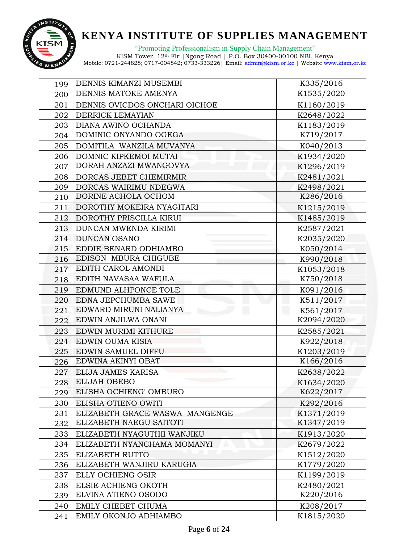

"Promoting Professionalism in Supply Chain Management"

| 199 | DENNIS KIMANZI MUSEMBI         | K335/2016  |
|-----|--------------------------------|------------|
| 200 | <b>DENNIS MATOKE AMENYA</b>    | K1535/2020 |
| 201 | DENNIS OVICDOS ONCHARI OICHOE  | K1160/2019 |
| 202 | <b>DERRICK LEMAYIAN</b>        | K2648/2022 |
| 203 | DIANA AWINO OCHANDA            | K1183/2019 |
|     | 204   DOMINIC ONYANDO OGEGA    | K719/2017  |
| 205 | DOMITILA WANZILA MUVANYA       | K040/2013  |
| 206 | DOMNIC KIPKEMOI MUTAI          | K1934/2020 |
| 207 | DORAH ANZAZI MWANGOVYA         | K1296/2019 |
|     | 208   DORCAS JEBET CHEMIRMIR   | K2481/2021 |
| 209 | DORCAS WAIRIMU NDEGWA          | K2498/2021 |
| 210 | DORINE ACHOLA OCHOM            | K286/2016  |
| 211 | DOROTHY MOKEIRA NYAGITARI      | K1215/2019 |
|     | 212   DOROTHY PRISCILLA KIRUI  | K1485/2019 |
| 213 | DUNCAN MWENDA KIRIMI           | K2587/2021 |
|     | 214 DUNCAN OSANO               | K2035/2020 |
| 215 | EDDIE BENARD ODHIAMBO          | K050/2014  |
|     | 216 EDISON MBURA CHIGUBE       | K990/2018  |
| 217 | EDITH CAROL AMONDI             | K1053/2018 |
| 218 | EDITH NAVASAA WAFULA           | K750/2018  |
| 219 | EDMUND ALHPONCE TOLE           | K091/2016  |
| 220 | <b>EDNA JEPCHUMBA SAWE</b>     | K511/2017  |
| 221 | EDWARD MIRUNI NALIANYA         | K561/2017  |
| 222 | EDWIN ANJILWA ONANI            | K2094/2020 |
| 223 | EDWIN MURIMI KITHURE           | K2585/2021 |
|     | 224 EDWIN OUMA KISIA           | K922/2018  |
| 225 | EDWIN SAMUEL DIFFU             | K1203/2019 |
| 226 | EDWINA AKINYI OBAT             | K166/2016  |
| 227 | ELIJA JAMES KARISA             | K2638/2022 |
| 228 | <b>ELIJAH OBEBO</b>            | K1634/2020 |
| 229 | ELISHA OCHIENG' OMBURO         | K622/2017  |
| 230 | ELISHA OTIENO OWITI            | K292/2016  |
| 231 | ELIZABETH GRACE WASWA MANGENGE | K1371/2019 |
| 232 | ELIZABETH NAEGU SAITOTI        | K1347/2019 |
| 233 | ELIZABETH NYAGUTHII WANJIKU    | K1913/2020 |
| 234 | ELIZABETH NYANCHAMA MOMANYI    | K2679/2022 |
| 235 | ELIZABETH RUTTO                | K1512/2020 |
| 236 | ELIZABETH WANJIRU KARUGIA      | K1779/2020 |
| 237 | ELLY OCHIENG OSIR              | K1199/2019 |
| 238 | ELSIE ACHIENG OKOTH            | K2480/2021 |
| 239 | ELVINA ATIENO OSODO            | K220/2016  |
| 240 | EMILY CHEBET CHUMA             | K208/2017  |
| 241 | EMILY OKONJO ADHIAMBO          | K1815/2020 |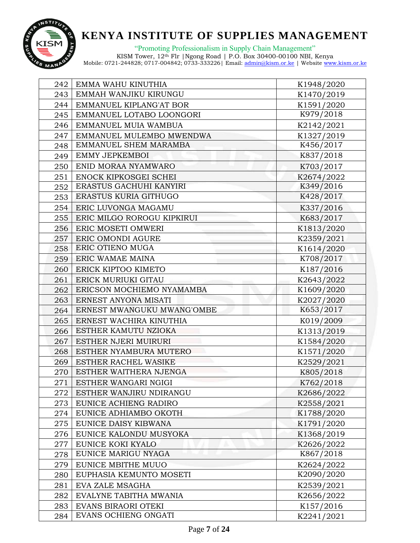

"Promoting Professionalism in Supply Chain Management"

| 242 | EMMA WAHU KINUTHIA               | K1948/2020 |
|-----|----------------------------------|------------|
| 243 | EMMAH WANJIKU KIRUNGU            | K1470/2019 |
| 244 | EMMANUEL KIPLANG'AT BOR          | K1591/2020 |
| 245 | EMMANUEL LOTABO LOONGORI         | K979/2018  |
| 246 | EMMANUEL MUIA WAMBUA             | K2142/2021 |
| 247 | EMMANUEL MULEMBO MWENDWA         | K1327/2019 |
| 248 | EMMANUEL SHEM MARAMBA            | K456/2017  |
| 249 | EMMY JEPKEMBOI                   | K837/2018  |
| 250 | ENID MORAA NYAMWARO              | K703/2017  |
| 251 | <b>ENOCK KIPKOSGEI SCHEI</b>     | K2674/2022 |
| 252 | ERASTUS GACHUHI KANYIRI          | K349/2016  |
| 253 | ERASTUS KURIA GITHUGO            | K428/2017  |
|     | 254   ERIC LUVONGA MAGAMU        | K337/2016  |
|     | 255   ERIC MILGO ROROGU KIPKIRUI | K683/2017  |
|     | 256   ERIC MOSETI OMWERI         | K1813/2020 |
| 257 | <b>ERIC OMONDI AGURE</b>         | K2359/2021 |
| 258 | <b>ERIC OTIENO MUGA</b>          | K1614/2020 |
|     | 259   ERIC WAMAE MAINA           | K708/2017  |
| 260 | ERICK KIPTOO KIMETO              | K187/2016  |
| 261 | ERICK MURIUKI GITAU              | K2643/2022 |
| 262 | ERICSON MOCHIEMO NYAMAMBA        | K1609/2020 |
| 263 | <b>ERNEST ANYONA MISATI</b>      | K2027/2020 |
| 264 | ERNEST MWANGUKU MWANG'OMBE       | K653/2017  |
| 265 | <b>ERNEST WACHIRA KINUTHIA</b>   | K019/2009  |
| 266 | ESTHER KAMUTU NZIOKA             | K1313/2019 |
| 267 | <b>ESTHER NJERI MUIRURI</b>      | K1584/2020 |
| 268 | ESTHER NYAMBURA MUTERO           | K1571/2020 |
| 269 | <b>ESTHER RACHEL WASIKE</b>      | K2529/2021 |
| 270 | ESTHER WAITHERA NJENGA           | K805/2018  |
| 271 | ESTHER WANGARI NGIGI             | K762/2018  |
| 272 | ESTHER WANJIRU NDIRANGU          | K2686/2022 |
| 273 | EUNICE ACHIENG RADIRO            | K2558/2021 |
| 274 | EUNICE ADHIAMBO OKOTH            | K1788/2020 |
| 275 | EUNICE DAISY KIBWANA             | K1791/2020 |
| 276 | EUNICE KALONDU MUSYOKA           | K1368/2019 |
| 277 | EUNICE KOKI KYALO                | K2626/2022 |
| 278 | EUNICE MARIGU NYAGA              | K867/2018  |
| 279 | EUNICE MBITHE MUUO               | K2624/2022 |
| 280 | EUPHASIA KEMUNTO MOSETI          | K2090/2020 |
| 281 | EVA ZALE MSAGHA                  | K2539/2021 |
| 282 | EVALYNE TABITHA MWANIA           | K2656/2022 |
| 283 | EVANS BIRAORI OTEKI              | K157/2016  |
| 284 | EVANS OCHIENG ONGATI             | K2241/2021 |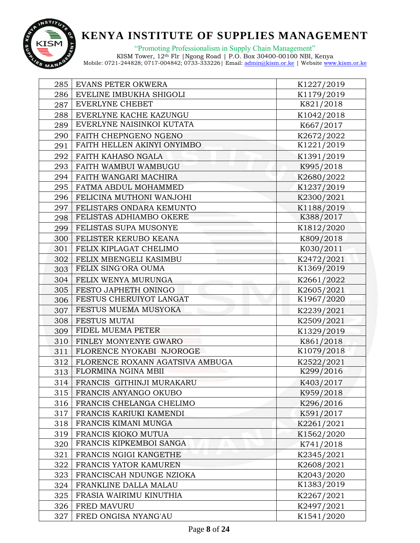

"Promoting Professionalism in Supply Chain Management"

| 285 | <b>EVANS PETER OKWERA</b>             | K1227/2019 |
|-----|---------------------------------------|------------|
|     | 286   EVELINE IMBUKHA SHIGOLI         | K1179/2019 |
| 287 | <b>EVERLYNE CHEBET</b>                | K821/2018  |
| 288 | EVERLYNE KACHE KAZUNGU                | K1042/2018 |
| 289 | EVERLYNE NAISINKOI KUTATA             | K667/2017  |
|     | 290   FAITH CHEPNGENO NGENO           | K2672/2022 |
| 291 | FAITH HELLEN AKINYI ONYIMBO           | K1221/2019 |
|     | 292   FAITH KAHASO NGALA              | K1391/2019 |
|     | 293   FAITH WAMBUI WAMBUGU            | K995/2018  |
|     | 294   FAITH WANGARI MACHIRA           | K2680/2022 |
|     | 295   FATMA ABDUL MOHAMMED            | K1237/2019 |
|     | 296   FELICINA MUTHONI WANJOHI        | K2300/2021 |
|     | 297   FELISTARS ONDARA KEMUNTO        | K1188/2019 |
|     | 298   FELISTAS ADHIAMBO OKERE         | K388/2017  |
| 299 | FELISTAS SUPA MUSONYE                 | K1812/2020 |
|     | 300   FELISTER KERUBO KEANA           | K809/2018  |
|     | 301   FELIX KIPLAGAT CHELIMO          | K030/2011  |
|     | <b>302 FELIX MBENGELI KASIMBU</b>     | K2472/2021 |
|     | 303   FELIX SING'ORA OUMA             | K1369/2019 |
|     | <b>304 FELIX WENYA MURUNGA</b>        | K2661/2022 |
|     | 305   FESTO JAPHETH ONINGO            | K2605/2021 |
|     | 306   FESTUS CHERUIYOT LANGAT         | K1967/2020 |
| 307 | FESTUS MUEMA MUSYOKA                  | K2239/2021 |
|     | 308   FESTUS MUTAI                    | K2509/2021 |
| 309 | FIDEL MUEMA PETER                     | K1329/2019 |
|     | 310   FINLEY MONYENYE GWARO           | K861/2018  |
|     | 311   FLORENCE NYOKABI NJOROGE        | K1079/2018 |
|     | 312   FLORENCE ROXANN AGATSIVA AMBUGA | K2522/2021 |
|     | 313   FLORMINA NGINA MBII             | K299/2016  |
|     | 314   FRANCIS GITHINJI MURAKARU       | K403/2017  |
| 315 | FRANCIS ANYANGO OKUBO                 | K959/2018  |
| 316 | FRANCIS CHELANGA CHELIMO              | K296/2016  |
| 317 | FRANCIS KARIUKI KAMENDI               | K591/2017  |
| 318 | FRANCIS KIMANI MUNGA                  | K2261/2021 |
| 319 | FRANCIS KIOKO MUTUA                   | K1562/2020 |
| 320 | FRANCIS KIPKEMBOI SANGA               | K741/2018  |
| 321 | FRANCIS NGIGI KANGETHE                | K2345/2021 |
| 322 | FRANCIS YATOR KAMUREN                 | K2608/2021 |
| 323 | FRANCISCAH NDUNGE NZIOKA              | K2043/2020 |
| 324 | FRANKLINE DALLA MALAU                 | K1383/2019 |
| 325 | FRASIA WAIRIMU KINUTHIA               | K2267/2021 |
| 326 | <b>FRED MAVURU</b>                    | K2497/2021 |
| 327 | FRED ONGISA NYANG'AU                  | K1541/2020 |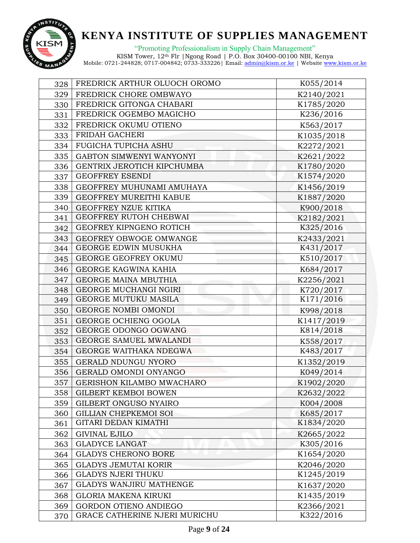

"Promoting Professionalism in Supply Chain Management"

| 328 | FREDRICK ARTHUR OLUOCH OROMO  | K055/2014  |
|-----|-------------------------------|------------|
| 329 | FREDRICK CHORE OMBWAYO        | K2140/2021 |
| 330 | FREDRICK GITONGA CHABARI      | K1785/2020 |
| 331 | FREDRICK OGEMBO MAGICHO       | K236/2016  |
| 332 | FREDRICK OKUMU OTIENO         | K563/2017  |
| 333 | FRIDAH GACHERI                | K1035/2018 |
| 334 | <b>FUGICHA TUPICHA ASHU</b>   | K2272/2021 |
| 335 | GABTON SIMWENYI WANYONYI      | K2621/2022 |
| 336 | GENTRIX JEROTICH KIPCHUMBA    | K1780/2020 |
| 337 | <b>GEOFFREY ESENDI</b>        | K1574/2020 |
| 338 | GEOFFREY MUHUNAMI AMUHAYA     | K1456/2019 |
| 339 | GEOFFREY MUREITHI KABUE       | K1887/2020 |
| 340 | GEOFFREY NZUE KITIKA          | K900/2018  |
| 341 | GEOFFREY RUTOH CHEBWAI        | K2182/2021 |
| 342 | GEOFREY KIPNGENO ROTICH       | K325/2016  |
| 343 | GEOFREY OBWOGE OMWANGE        | K2433/2021 |
| 344 | <b>GEORGE EDWIN MUSUKHA</b>   | K431/2017  |
| 345 | <b>GEORGE GEOFREY OKUMU</b>   | K510/2017  |
| 346 | GEORGE KAGWINA KAHIA          | K684/2017  |
| 347 | <b>GEORGE MAINA MBUTHIA</b>   | K2256/2021 |
| 348 | GEORGE MUCHANGI NGIRI         | K720/2017  |
| 349 | <b>GEORGE MUTUKU MASILA</b>   | K171/2016  |
| 350 | GEORGE NOMBI OMONDI           | K998/2018  |
| 351 | GEORGE OCHIENG OGOLA          | K1417/2019 |
| 352 | GEORGE ODONGO OGWANG          | K814/2018  |
| 353 | <b>GEORGE SAMUEL MWALANDI</b> | K558/2017  |
| 354 | GEORGE WAITHAKA NDEGWA        | K483/2017  |
| 355 | GERALD NDUNGU NYORO           | K1352/2019 |
| 356 | GERALD OMONDI ONYANGO         | K049/2014  |
| 357 | GERISHON KILAMBO MWACHARO     | K1902/2020 |
| 358 | <b>GILBERT KEMBOI BOWEN</b>   | K2632/2022 |
| 359 | GILBERT ONGUSO NYAIRO         | K004/2008  |
| 360 | <b>GILLIAN CHEPKEMOI SOI</b>  | K685/2017  |
| 361 | GITARI DEDAN KIMATHI          | K1834/2020 |
| 362 | <b>GIVINAL EJILO</b>          | K2665/2022 |
| 363 | <b>GLADYCE LANGAT</b>         | K305/2016  |
| 364 | <b>GLADYS CHERONO BORE</b>    | K1654/2020 |
| 365 | <b>GLADYS JEMUTAI KORIR</b>   | K2046/2020 |
| 366 | <b>GLADYS NJERI THUKU</b>     | K1245/2019 |
| 367 | GLADYS WANJIRU MATHENGE       | K1637/2020 |
| 368 | <b>GLORIA MAKENA KIRUKI</b>   | K1435/2019 |
| 369 | <b>GORDON OTIENO ANDIEGO</b>  | K2366/2021 |
| 370 | GRACE CATHERINE NJERI MURICHU | K322/2016  |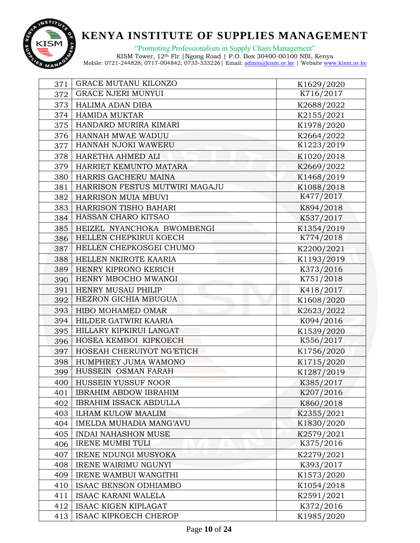

"Promoting Professionalism in Supply Chain Management"

| 371 | <b>GRACE MUTANU KILONZO</b>      | K1629/2020 |
|-----|----------------------------------|------------|
| 372 | <b>GRACE NJERI MUNYUI</b>        | K716/2017  |
| 373 | HALIMA ADAN DIBA                 | K2688/2022 |
| 374 | <b>HAMIDA MUKTAR</b>             | K2155/2021 |
| 375 | HANDARD MURIRA KIMARI            | K1978/2020 |
|     | 376   HANNAH MWAE WADUU          | K2664/2022 |
| 377 | HANNAH NJOKI WAWERU              | K1223/2019 |
| 378 | HARETHA AHMED ALI                | K1020/2018 |
| 379 | HARRIET KEMUNTO MATARA           | K2669/2022 |
| 380 | HARRIS GACHERU MAINA             | K1468/2019 |
| 381 | HARRISON FESTUS MUTWIRI MAGAJU   | K1088/2018 |
| 382 | <b>HARRISON MUIA MBUVI</b>       | K477/2017  |
| 383 | <b>HARRISON TISHO BAHARI</b>     | K894/2018  |
|     | 384   HASSAN CHARO KITSAO        | K537/2017  |
|     | 385   HEIZEL NYANCHOKA BWOMBENGI | K1354/2019 |
|     | 386   HELLEN CHEPKIRUI KOECH     | K774/2018  |
| 387 | HELLEN CHEPKOSGEI CHUMO          | K2200/2021 |
|     | 388   HELLEN NKIROTE KAARIA      | K1193/2019 |
| 389 | HENRY KIPRONO KERICH             | K373/2016  |
| 390 | HENRY MBOCHO MWANGI              | K751/2018  |
| 391 | <b>HENRY MUSAU PHILIP</b>        | K418/2017  |
|     | 392   HEZRON GICHIA MBUGUA       | K1608/2020 |
| 393 | HIBO MOHAMED OMAR                | K2623/2022 |
|     | 394 HILDER GATWIRI KAARIA        | K094/2016  |
| 395 | HILLARY KIPKIRUI LANGAT          | K1539/2020 |
|     | 396   HOSEA KEMBOI KIPKOECH      | K556/2017  |
| 397 | HOSEAH CHERUIYOT NG'ETICH        | K1756/2020 |
| 398 | HUMPHREY JUMA WAMONO             | K1715/2020 |
| 399 | HUSSEIN OSMAN FARAH              | K1287/2019 |
| 400 | HUSSEIN YUSSUF NOOR              | K385/2017  |
| 401 | <b>IBRAHIM ABDOW IBRAHIM</b>     | K207/2016  |
| 402 | <b>IBRAHIM ISSACK ABDULLA</b>    | K860/2018  |
| 403 | <b>ILHAM KULOW MAALIM</b>        | K2355/2021 |
| 404 | IMELDA MUHADIA MANG'AVU          | K1830/2020 |
| 405 | <b>INDAI NAHASHON MUSE</b>       | K2579/2021 |
| 406 | <b>IRENE MUMBI TULI</b>          | K375/2016  |
| 407 | <b>IRENE NDUNGI MUSYOKA</b>      | K2279/2021 |
| 408 | <b>IRENE WAIRIMU NGUNYI</b>      | K393/2017  |
| 409 | IRENE WAMBUI WANGITHI            | K1573/2020 |
| 410 | ISAAC BENSON ODHIAMBO            | K1054/2018 |
| 411 | <b>ISAAC KARANI WALELA</b>       | K2591/2021 |
| 412 | <b>ISAAC KIGEN KIPLAGAT</b>      | K372/2016  |
| 413 | ISAAC KIPKOECH CHEROP            | K1985/2020 |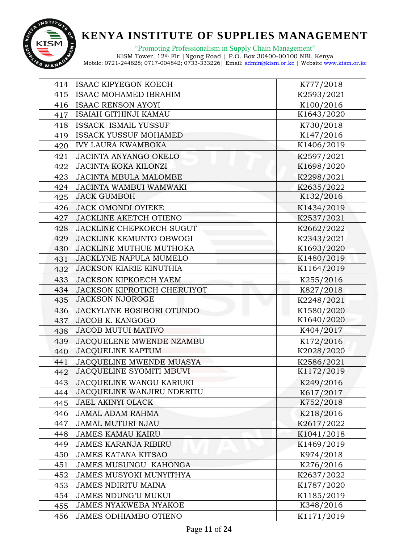

"Promoting Professionalism in Supply Chain Management"

| 414 | <b>ISAAC KIPYEGON KOECH</b>     | K777/2018  |
|-----|---------------------------------|------------|
|     | 415   ISAAC MOHAMED IBRAHIM     | K2593/2021 |
|     | 416   ISAAC RENSON AYOYI        | K100/2016  |
| 417 | ISAIAH GITHINJI KAMAU           | K1643/2020 |
| 418 | <b>ISSACK ISMAIL YUSSUF</b>     | K730/2018  |
| 419 | <b>ISSACK YUSSUF MOHAMED</b>    | K147/2016  |
| 420 | <b>IVY LAURA KWAMBOKA</b>       | K1406/2019 |
| 421 | JACINTA ANYANGO OKELO           | K2597/2021 |
| 422 | <b>JACINTA KOKA KILONZI</b>     | K1698/2020 |
|     | 423   JACINTA MBULA MALOMBE     | K2298/2021 |
| 424 | JACINTA WAMBUI WAMWAKI          | K2635/2022 |
| 425 | <b>JACK GUMBOH</b>              | K132/2016  |
|     | 426 JACK OMONDI OYIEKE          | K1434/2019 |
|     | 427 JACKLINE AKETCH OTIENO      | K2537/2021 |
| 428 | <b>JACKLINE CHEPKOECH SUGUT</b> | K2662/2022 |
| 429 | <b>JACKLINE KEMUNTO OBWOGI</b>  | K2343/2021 |
| 430 | JACKLINE MUTHUE MUTHOKA         | K1693/2020 |
| 431 | JACKLYNE NAFULA MUMELO          | K1480/2019 |
| 432 | <b>JACKSON KIARIE KINUTHIA</b>  | K1164/2019 |
| 433 | <b>JACKSON KIPKOECH YAEM</b>    | K255/2016  |
| 434 | JACKSON KIPROTICH CHERUIYOT     | K827/2018  |
|     | 435 JACKSON NJOROGE             | K2248/2021 |
| 436 | JACKYLYNE BOSIBORI OTUNDO       | K1580/2020 |
| 437 | JACOB K. KANGOGO                | K1640/2020 |
| 438 | <b>JACOB MUTUI MATIVO</b>       | K404/2017  |
| 439 | JACOUELENE MWENDE NZAMBU        | K172/2016  |
| 440 | <b>JACQUELINE KAPTUM</b>        | K2028/2020 |
| 441 | JACQUELINE MWENDE MUASYA        | K2586/2021 |
| 442 | JACQUELINE SYOMITI MBUVI        | K1172/2019 |
| 443 | <b>JACOUELINE WANGU KARIUKI</b> | K249/2016  |
| 444 | JACQUELINE WANJIRU NDERITU      | K617/2017  |
| 445 | <b>JAEL AKINYI OLACK</b>        | K752/2018  |
| 446 | <b>JAMAL ADAM RAHMA</b>         | K218/2016  |
| 447 | <b>JAMAL MUTURI NJAU</b>        | K2617/2022 |
| 448 | <b>JAMES KAMAU KAIRU</b>        | K1041/2018 |
| 449 | <b>JAMES KARANJA RIBIRU</b>     | K1469/2019 |
| 450 | <b>JAMES KATANA KITSAO</b>      | K974/2018  |
| 451 | <b>JAMES MUSUNGU KAHONGA</b>    | K276/2016  |
| 452 | <b>JAMES MUSYOKI MUNYITHYA</b>  | K2637/2022 |
| 453 | JAMES NDIRITU MAINA             | K1787/2020 |
| 454 | <b>JAMES NDUNG'U MUKUI</b>      | K1185/2019 |
| 455 | <b>JAMES NYAKWEBA NYAKOE</b>    | K348/2016  |
| 456 | <b>JAMES ODHIAMBO OTIENO</b>    | K1171/2019 |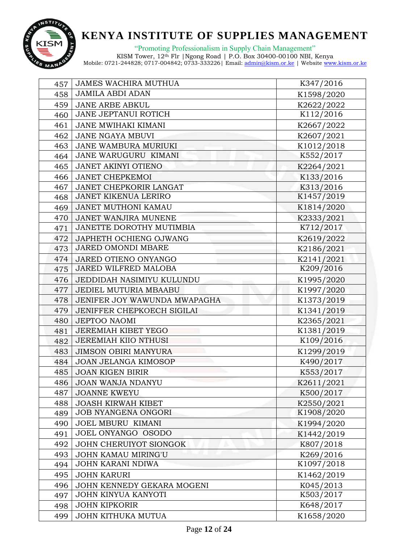

"Promoting Professionalism in Supply Chain Management"

| 457 | <b>JAMES WACHIRA MUTHUA</b>  | K347/2016  |
|-----|------------------------------|------------|
| 458 | <b>JAMILA ABDI ADAN</b>      | K1598/2020 |
| 459 | <b>JANE ARBE ABKUL</b>       | K2622/2022 |
| 460 | JANE JEPTANUI ROTICH         | K112/2016  |
| 461 | <b>JANE MWIHAKI KIMANI</b>   | K2667/2022 |
| 462 | <b>JANE NGAYA MBUVI</b>      | K2607/2021 |
| 463 | JANE WAMBURA MURIUKI         | K1012/2018 |
| 464 | JANE WARUGURU KIMANI         | K552/2017  |
| 465 | <b>JANET AKINYI OTIENO</b>   | K2264/2021 |
| 466 | <b>JANET CHEPKEMOI</b>       | K133/2016  |
| 467 | JANET CHEPKORIR LANGAT       | K313/2016  |
| 468 | <b>JANET KIKENUA LERIRO</b>  | K1457/2019 |
| 469 | JANET MUTHONI KAMAU          | K1814/2020 |
| 470 | <b>JANET WANJIRA MUNENE</b>  | K2333/2021 |
| 471 | JANETTE DOROTHY MUTIMBIA     | K712/2017  |
| 472 | JAPHETH OCHIENG OJWANG       | K2619/2022 |
| 473 | <b>JARED OMONDI MBARE</b>    | K2186/2021 |
| 474 | JARED OTIENO ONYANGO         | K2141/2021 |
| 475 | JARED WILFRED MALOBA         | K209/2016  |
| 476 | JEDDIDAH NASIMIYU KULUNDU    | K1995/2020 |
| 477 | JEDIEL MUTURIA MBAABU        | K1997/2020 |
| 478 | JENIFER JOY WAWUNDA MWAPAGHA | K1373/2019 |
| 479 | JENIFFER CHEPKOECH SIGILAI   | K1341/2019 |
| 480 | <b>JEPTOO NAOMI</b>          | K2365/2021 |
| 481 | <b>JEREMIAH KIBET YEGO</b>   | K1381/2019 |
| 482 | JEREMIAH KIIO NTHUSI         | K109/2016  |
| 483 | <b>JIMSON OBIRI MANYURA</b>  | K1299/2019 |
| 484 | JOAN JELANGA KIMOSOP         | K490/2017  |
| 485 | <b>JOAN KIGEN BIRIR</b>      | K553/2017  |
| 486 | <b>JOAN WANJA NDANYU</b>     | K2611/2021 |
| 487 | <b>JOANNE KWEYU</b>          | K500/2017  |
| 488 | <b>JOASH KIRWAH KIBET</b>    | K2550/2021 |
| 489 | <b>JOB NYANGENA ONGORI</b>   | K1908/2020 |
| 490 | <b>JOEL MBURU KIMANI</b>     | K1994/2020 |
| 491 | JOEL ONYANGO OSODO           | K1442/2019 |
| 492 | JOHN CHERUIYOT SIONGOK       | K807/2018  |
| 493 | <b>JOHN KAMAU MIRING'U</b>   | K269/2016  |
| 494 | <b>JOHN KARANI NDIWA</b>     | K1097/2018 |
| 495 | <b>JOHN KARURI</b>           | K1462/2019 |
| 496 | JOHN KENNEDY GEKARA MOGENI   | K045/2013  |
| 497 | JOHN KINYUA KANYOTI          | K503/2017  |
| 498 | <b>JOHN KIPKORIR</b>         | K648/2017  |
| 499 | JOHN KITHUKA MUTUA           | K1658/2020 |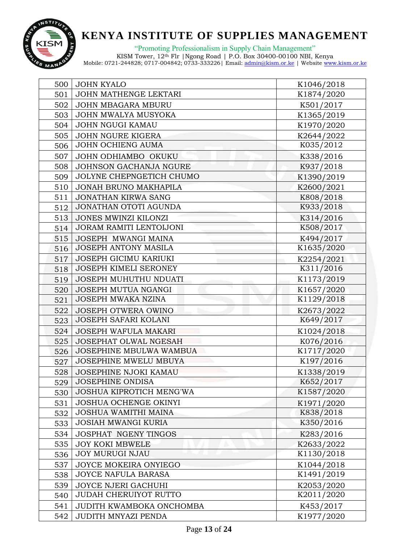

"Promoting Professionalism in Supply Chain Management"

| 500 | <b>JOHN KYALO</b>              | K1046/2018 |
|-----|--------------------------------|------------|
| 501 | JOHN MATHENGE LEKTARI          | K1874/2020 |
| 502 | JOHN MBAGARA MBURU             | K501/2017  |
| 503 | JOHN MWALYA MUSYOKA            | K1365/2019 |
|     | 504 JOHN NGUGI KAMAU           | K1970/2020 |
| 505 | JOHN NGURE KIGERA              | K2644/2022 |
| 506 | JOHN OCHIENG AUMA              | K035/2012  |
| 507 | JOHN ODHIAMBO OKUKU            | K338/2016  |
| 508 | JOHNSON GACHANJA NGURE         | K937/2018  |
| 509 | JOLYNE CHEPNGETICH CHUMO       | K1390/2019 |
| 510 | JONAH BRUNO MAKHAPILA          | K2600/2021 |
| 511 | <b>JONATHAN KIRWA SANG</b>     | K808/2018  |
| 512 | JONATHAN OTOTI AGUNDA          | K933/2018  |
| 513 | JONES MWINZI KILONZI           | K314/2016  |
|     | 514 JORAM RAMITI LENTOIJONI    | K508/2017  |
| 515 | JOSEPH MWANGI MAINA            | K494/2017  |
| 516 | <b>JOSEPH ANTONY MASILA</b>    | K1635/2020 |
| 517 | JOSEPH GICIMU KARIUKI          | K2254/2021 |
| 518 | <b>JOSEPH KIMELI SERONEY</b>   | K311/2016  |
| 519 | JOSEPH MUHUTHU NDUATI          | K1173/2019 |
| 520 | JOSEPH MUTUA NGANGI            | K1657/2020 |
| 521 | JOSEPH MWAKA NZINA             | K1129/2018 |
| 522 | JOSEPH OTWERA OWINO            | K2673/2022 |
| 523 | JOSEPH SAFARI KOLANI           | K649/2017  |
| 524 | JOSEPH WAFULA MAKARI           | K1024/2018 |
| 525 | <b>JOSEPHAT OLWAL NGESAH</b>   | K076/2016  |
| 526 | <b>JOSEPHINE MBULWA WAMBUA</b> | K1717/2020 |
| 527 | JOSEPHINE MWELU MBUYA          | K197/2016  |
| 528 | <b>JOSEPHINE NJOKI KAMAU</b>   | K1338/2019 |
| 529 | <b>JOSEPHINE ONDISA</b>        | K652/2017  |
| 530 | JOSHUA KIPROTICH MENG'WA       | K1587/2020 |
| 531 | <b>JOSHUA OCHENGE OKINYI</b>   | K1971/2020 |
| 532 | <b>JOSHUA WAMITHI MAINA</b>    | K838/2018  |
| 533 | <b>JOSIAH MWANGI KURIA</b>     | K350/2016  |
| 534 | JOSPHAT NGENY TINGOS           | K283/2016  |
| 535 | <b>JOY KOKI MBWELE</b>         | K2633/2022 |
| 536 | <b>JOY MURUGI NJAU</b>         | K1130/2018 |
| 537 | JOYCE MOKEIRA ONYIEGO          | K1044/2018 |
| 538 | <b>JOYCE NAFULA BARASA</b>     | K1491/2019 |
| 539 | <b>JOYCE NJERI GACHUHI</b>     | K2053/2020 |
| 540 | <b>JUDAH CHERUIYOT RUTTO</b>   | K2011/2020 |
| 541 | JUDITH KWAMBOKA ONCHOMBA       | K453/2017  |
| 542 | JUDITH MNYAZI PENDA            | K1977/2020 |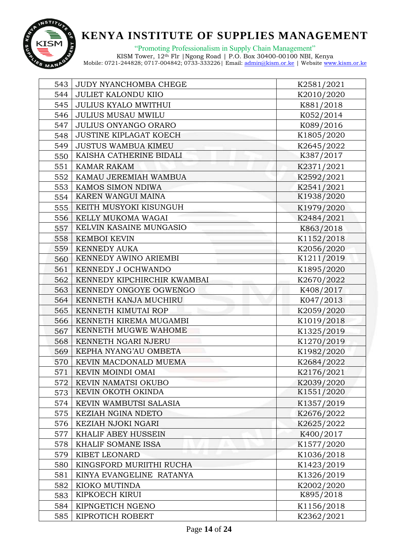

"Promoting Professionalism in Supply Chain Management"

| 543 | JUDY NYANCHOMBA CHEGE         | K2581/2021 |
|-----|-------------------------------|------------|
| 544 | <b>JULIET KALONDU KIIO</b>    | K2010/2020 |
| 545 | <b>JULIUS KYALO MWITHUI</b>   | K881/2018  |
| 546 | <b>JULIUS MUSAU MWILU</b>     | K052/2014  |
| 547 | <b>JULIUS ONYANGO ORARO</b>   | K089/2016  |
| 548 | <b>JUSTINE KIPLAGAT KOECH</b> | K1805/2020 |
| 549 | <b>JUSTUS WAMBUA KIMEU</b>    | K2645/2022 |
| 550 | KAISHA CATHERINE BIDALI       | K387/2017  |
| 551 | <b>KAMAR RAKAM</b>            | K2371/2021 |
| 552 | KAMAU JEREMIAH WAMBUA         | K2592/2021 |
| 553 | KAMOS SIMON NDIWA             | K2541/2021 |
| 554 | KAREN WANGUI MAINA            | K1938/2020 |
| 555 | KEITH MUSYOKI KISUNGUH        | K1979/2020 |
| 556 | KELLY MUKOMA WAGAI            | K2484/2021 |
| 557 | KELVIN KASAINE MUNGASIO       | K863/2018  |
| 558 | <b>KEMBOI KEVIN</b>           | K1152/2018 |
| 559 | <b>KENNEDY AUKA</b>           | K2056/2020 |
| 560 | KENNEDY AWINO ARIEMBI         | K1211/2019 |
| 561 | KENNEDY J OCHWANDO            | K1895/2020 |
| 562 | KENNEDY KIPCHIRCHIR KWAMBAI   | K2670/2022 |
| 563 | KENNEDY ONGOYE OGWENGO        | K408/2017  |
| 564 | KENNETH KANJA MUCHIRU         | K047/2013  |
| 565 | KENNETH KIMUTAI ROP           | K2059/2020 |
| 566 | KENNETH KIREMA MUGAMBI        | K1019/2018 |
| 567 | KENNETH MUGWE WAHOME          | K1325/2019 |
| 568 | KENNETH NGARI NJERU           | K1270/2019 |
| 569 | KEPHA NYANG'AU OMBETA         | K1982/2020 |
| 570 | KEVIN MACDONALD MUEMA         | K2684/2022 |
| 571 | KEVIN MOINDI OMAI             | K2176/2021 |
| 572 | KEVIN NAMATSI OKUBO           | K2039/2020 |
| 573 | KEVIN OKOTH OKINDA            | K1551/2020 |
| 574 | KEVIN WAMBUTSI SALASIA        | K1357/2019 |
| 575 | KEZIAH NGINA NDETO            | K2676/2022 |
| 576 | KEZIAH NJOKI NGARI            | K2625/2022 |
| 577 | KHALIF ABEY HUSSEIN           | K400/2017  |
| 578 | KHALIF SOMANE ISSA            | K1577/2020 |
| 579 | KIBET LEONARD                 | K1036/2018 |
| 580 | KINGSFORD MURIITHI RUCHA      | K1423/2019 |
| 581 | KINYA EVANGELINE RATANYA      | K1326/2019 |
| 582 | KIOKO MUTINDA                 | K2002/2020 |
| 583 | KIPKOECH KIRUI                | K895/2018  |
| 584 | KIPNGETICH NGENO              | K1156/2018 |
| 585 | KIPROTICH ROBERT              | K2362/2021 |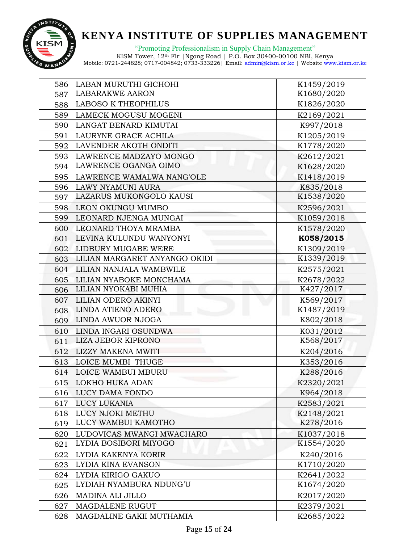

"Promoting Professionalism in Supply Chain Management"

| 586 | LABAN MURUTHI GICHOHI               | K1459/2019 |
|-----|-------------------------------------|------------|
| 587 | <b>LABARAKWE AARON</b>              | K1680/2020 |
| 588 | <b>LABOSO K THEOPHILUS</b>          | K1826/2020 |
| 589 | LAMECK MOGUSU MOGENI                | K2169/2021 |
| 590 | LANGAT BENARD KIMUTAI               | K997/2018  |
| 591 | LAURYNE GRACE ACHILA                | K1205/2019 |
| 592 | LAVENDER AKOTH ONDITI               | K1778/2020 |
| 593 | LAWRENCE MADZAYO MONGO              | K2612/2021 |
| 594 | LAWRENCE OGANGA OIMO                | K1628/2020 |
|     | 595   LAWRENCE WAMALWA NANG'OLE     | K1418/2019 |
| 596 | LAWY NYAMUNI AURA                   | K835/2018  |
| 597 | LAZARUS MUKONGOLO KAUSI             | K1538/2020 |
| 598 | <b>LEON OKUNGU MUMBO</b>            | K2596/2021 |
| 599 | LEONARD NJENGA MUNGAI               | K1059/2018 |
| 600 | LEONARD THOYA MRAMBA                | K1578/2020 |
| 601 | LEVINA KULUNDU WANYONYI             | K058/2015  |
| 602 | LIDBURY MUGABE WERE                 | K1309/2019 |
|     | 603   LILIAN MARGARET ANYANGO OKIDI | K1339/2019 |
| 604 | LILIAN NANJALA WAMBWILE             | K2575/2021 |
| 605 | LILIAN NYABOKE MONCHAMA             | K2678/2022 |
| 606 | LILIAN NYOKABI MUHIA                | K427/2017  |
| 607 | LILIAN ODERO AKINYI                 | K569/2017  |
| 608 | <b>LINDA ATIENO ADERO</b>           | K1487/2019 |
| 609 | LINDA AWUOR NJOGA                   | K802/2018  |
| 610 | LINDA INGARI OSUNDWA                | K031/2012  |
| 611 | LIZA JEBOR KIPRONO                  | K568/2017  |
| 612 | LIZZY MAKENA MWITI                  | K204/2016  |
| 613 | <b>LOICE MUMBI THUGE</b>            | K353/2016  |
| 614 | <b>LOICE WAMBUI MBURU</b>           | K288/2016  |
| 615 | <b>LOKHO HUKA ADAN</b>              | K2320/2021 |
| 616 | LUCY DAMA FONDO                     | K964/2018  |
| 617 | <b>LUCY LUKANIA</b>                 | K2583/2021 |
| 618 | LUCY NJOKI METHU                    | K2148/2021 |
| 619 | LUCY WAMBUI KAMOTHO                 | K278/2016  |
| 620 | LUDOVICAS MWANGI MWACHARO           | K1037/2018 |
| 621 | LYDIA BOSIBORI MIYOGO               | K1554/2020 |
| 622 | LYDIA KAKENYA KORIR                 | K240/2016  |
| 623 | LYDIA KINA EVANSON                  | K1710/2020 |
| 624 | LYDIA KIRIGO GAKUO                  | K2641/2022 |
| 625 | LYDIAH NYAMBURA NDUNG'U             | K1674/2020 |
| 626 | MADINA ALI JILLO                    | K2017/2020 |
| 627 | MAGDALENE RUGUT                     | K2379/2021 |
| 628 | MAGDALINE GAKII MUTHAMIA            | K2685/2022 |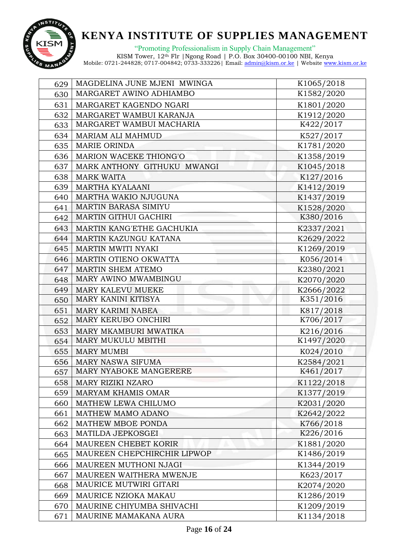

"Promoting Professionalism in Supply Chain Management"

| 629 | MAGDELINA JUNE MJENI MWINGA | K1065/2018 |
|-----|-----------------------------|------------|
| 630 | MARGARET AWINO ADHIAMBO     | K1582/2020 |
| 631 | MARGARET KAGENDO NGARI      | K1801/2020 |
| 632 | MARGARET WAMBUI KARANJA     | K1912/2020 |
| 633 | MARGARET WAMBUI MACHARIA    | K422/2017  |
| 634 | <b>MARIAM ALI MAHMUD</b>    | K527/2017  |
| 635 | <b>MARIE ORINDA</b>         | K1781/2020 |
| 636 | MARION WACEKE THIONG'O      | K1358/2019 |
| 637 | MARK ANTHONY GITHUKU MWANGI | K1045/2018 |
| 638 | <b>MARK WAITA</b>           | K127/2016  |
| 639 | <b>MARTHA KYALAANI</b>      | K1412/2019 |
| 640 | MARTHA WAKIO NJUGUNA        | K1437/2019 |
| 641 | <b>MARTIN BARASA SIMIYU</b> | K1528/2020 |
| 642 | MARTIN GITHUI GACHIRI       | K380/2016  |
| 643 | MARTIN KANG'ETHE GACHUKIA   | K2337/2021 |
| 644 | MARTIN KAZUNGU KATANA       | K2629/2022 |
| 645 | MARTIN MWITI NYAKI          | K1269/2019 |
| 646 | MARTIN OTIENO OKWATTA       | K056/2014  |
| 647 | <b>MARTIN SHEM ATEMO</b>    | K2380/2021 |
| 648 | MARY AWINO MWAMBINGU        | K2070/2020 |
| 649 | MARY KALEVU MUEKE           | K2666/2022 |
| 650 | <b>MARY KANINI KITISYA</b>  | K351/2016  |
| 651 | MARY KARIMI NABEA           | K817/2018  |
| 652 | MARY KERUBO ONCHIRI         | K706/2017  |
| 653 | MARY MKAMBURI MWATIKA       | K216/2016  |
| 654 | MARY MUKULU MBITHI          | K1497/2020 |
| 655 | <b>MARY MUMBI</b>           | K024/2010  |
| 656 | <b>MARY NASWA SIFUMA</b>    | K2584/2021 |
| 657 | MARY NYABOKE MANGERERE      | K461/2017  |
| 658 | <b>MARY RIZIKI NZARO</b>    | K1122/2018 |
| 659 | <b>MARYAM KHAMIS OMAR</b>   | K1377/2019 |
| 660 | MATHEW LEWA CHILUMO         | K2031/2020 |
| 661 | MATHEW MAMO ADANO           | K2642/2022 |
| 662 | MATHEW MBOE PONDA           | K766/2018  |
| 663 | MATILDA JEPKOSGEI           | K226/2016  |
| 664 | MAUREEN CHEBET KORIR        | K1881/2020 |
| 665 | MAUREEN CHEPCHIRCHIR LIPWOP | K1486/2019 |
| 666 | MAUREEN MUTHONI NJAGI       | K1344/2019 |
| 667 | MAUREEN WAITHERA MWENJE     | K623/2017  |
| 668 | MAURICE MUTWIRI GITARI      | K2074/2020 |
| 669 | MAURICE NZIOKA MAKAU        | K1286/2019 |
| 670 | MAURINE CHIYUMBA SHIVACHI   | K1209/2019 |
| 671 | MAURINE MAMAKANA AURA       | K1134/2018 |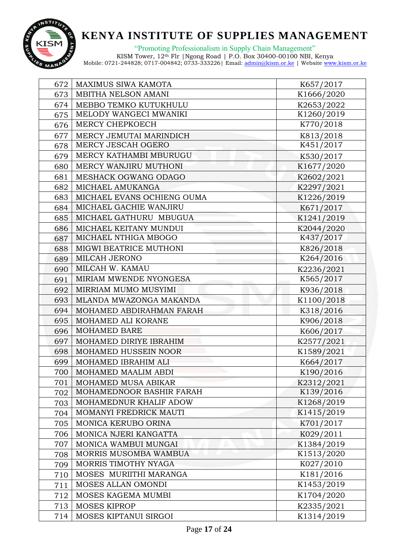

"Promoting Professionalism in Supply Chain Management"

| 672 | MAXIMUS SIWA KAMOTA          | K657/2017  |
|-----|------------------------------|------------|
| 673 | MBITHA NELSON AMANI          | K1666/2020 |
| 674 | MEBBO TEMKO KUTUKHULU        | K2653/2022 |
| 675 | MELODY WANGECI MWANIKI       | K1260/2019 |
| 676 | MERCY CHEPKOECH              | K770/2018  |
| 677 | MERCY JEMUTAI MARINDICH      | K813/2018  |
| 678 | MERCY JESCAH OGERO           | K451/2017  |
| 679 | MERCY KATHAMBI MBURUGU       | K530/2017  |
| 680 | MERCY WANJIRU MUTHONI        | K1677/2020 |
| 681 | MESHACK OGWANG ODAGO         | K2602/2021 |
| 682 | MICHAEL AMUKANGA             | K2297/2021 |
| 683 | MICHAEL EVANS OCHIENG OUMA   | K1226/2019 |
| 684 | MICHAEL GACHIE WANJIRU       | K671/2017  |
|     | 685   MICHAEL GATHURU MBUGUA | K1241/2019 |
| 686 | MICHAEL KEITANY MUNDUI       | K2044/2020 |
| 687 | MICHAEL NTHIGA MBOGO         | K437/2017  |
| 688 | MIGWI BEATRICE MUTHONI       | K826/2018  |
| 689 | MILCAH JERONO                | K264/2016  |
| 690 | MILCAH W. KAMAU              | K2236/2021 |
| 691 | MIRIAM MWENDE NYONGESA       | K565/2017  |
| 692 | MIRRIAM MUMO MUSYIMI         | K936/2018  |
| 693 | MLANDA MWAZONGA MAKANDA      | K1100/2018 |
| 694 | MOHAMED ABDIRAHMAN FARAH     | K318/2016  |
| 695 | MOHAMED ALI KORANE           | K906/2018  |
| 696 | <b>MOHAMED BARE</b>          | K606/2017  |
| 697 | MOHAMED DIRIYE IBRAHIM       | K2577/2021 |
| 698 | MOHAMED HUSSEIN NOOR         | K1589/2021 |
| 699 | MOHAMED IBRAHIM ALI          | K664/2017  |
| 700 | MOHAMED MAALIM ABDI          | K190/2016  |
| 701 | MOHAMED MUSA ABIKAR          | K2312/2021 |
| 702 | MOHAMEDNOOR BASHIR FARAH     | K139/2016  |
| 703 | MOHAMEDNUR KHALIF ADOW       | K1268/2019 |
| 704 | MOMANYI FREDRICK MAUTI       | K1415/2019 |
| 705 | MONICA KERUBO ORINA          | K701/2017  |
| 706 | MONICA NJERI KANGATTA        | K029/2011  |
| 707 | MONICA WAMBUI MUNGAI         | K1384/2019 |
| 708 | MORRIS MUSOMBA WAMBUA        | K1513/2020 |
| 709 | MORRIS TIMOTHY NYAGA         | K027/2010  |
| 710 | MOSES MURIITHI MARANGA       | K181/2016  |
| 711 | MOSES ALLAN OMONDI           | K1453/2019 |
| 712 | MOSES KAGEMA MUMBI           | K1704/2020 |
| 713 | <b>MOSES KIPROP</b>          | K2335/2021 |
| 714 | MOSES KIPTANUI SIRGOI        | K1314/2019 |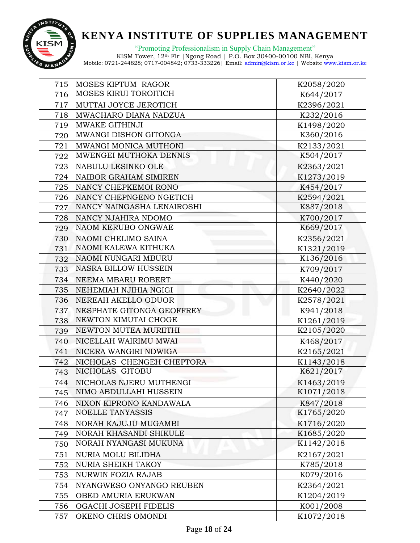

"Promoting Professionalism in Supply Chain Management"

| 715 | MOSES KIPTUM RAGOR           | K2058/2020 |
|-----|------------------------------|------------|
| 716 | <b>MOSES KIRUI TOROITICH</b> | K644/2017  |
| 717 | MUTTAI JOYCE JEROTICH        | K2396/2021 |
| 718 | MWACHARO DIANA NADZUA        | K232/2016  |
| 719 | MWAKE GITHINJI               | K1498/2020 |
| 720 | MWANGI DISHON GITONGA        | K360/2016  |
| 721 | MWANGI MONICA MUTHONI        | K2133/2021 |
| 722 | MWENGEI MUTHOKA DENNIS       | K504/2017  |
| 723 | NABULU LESINKO OLE           | K2363/2021 |
|     | 724   NAIBOR GRAHAM SIMIREN  | K1273/2019 |
| 725 | NANCY CHEPKEMOI RONO         | K454/2017  |
| 726 | NANCY CHEPNGENO NGETICH      | K2594/2021 |
| 727 | NANCY NAINGASHA LENAIROSHI   | K887/2018  |
| 728 | NANCY NJAHIRA NDOMO          | K700/2017  |
| 729 | NAOM KERUBO ONGWAE           | K669/2017  |
| 730 | NAOMI CHELIMO SAINA          | K2356/2021 |
| 731 | NAOMI KALEWA KITHUKA         | K1321/2019 |
|     | 732   NAOMI NUNGARI MBURU    | K136/2016  |
| 733 | <b>NASRA BILLOW HUSSEIN</b>  | K709/2017  |
| 734 | NEEMA MBARU ROBERT           | K440/2020  |
| 735 | NEHEMIAH NJIHIA NGIGI        | K2640/2022 |
|     | 736   NEREAH AKELLO ODUOR    | K2578/2021 |
| 737 | NESPHATE GITONGA GEOFFREY    | K941/2018  |
| 738 | NEWTON KIMUTAI CHOGE         | K1261/2019 |
| 739 | NEWTON MUTEA MURIITHI        | K2105/2020 |
| 740 | NICELLAH WAIRIMU MWAI        | K468/2017  |
| 741 | NICERA WANGIRI NDWIGA        | K2165/2021 |
| 742 | NICHOLAS CHENGEH CHEPTORA    | K1143/2018 |
| 743 | NICHOLAS GITOBU              | K621/2017  |
| 744 | NICHOLAS NJERU MUTHENGI      | K1463/2019 |
| 745 | NIMO ABDULLAHI HUSSEIN       | K1071/2018 |
| 746 | NIXON KIPRONO KANDAWALA      | K847/2018  |
| 747 | <b>NOELLE TANYASSIS</b>      | K1765/2020 |
| 748 | NORAH KAJUJU MUGAMBI         | K1716/2020 |
| 749 | NORAH KHASANDI SHIKULE       | K1685/2020 |
| 750 | NORAH NYANGASI MUKUNA        | K1142/2018 |
| 751 | <b>NURIA MOLU BILIDHA</b>    | K2167/2021 |
| 752 | <b>NURIA SHEIKH TAKOY</b>    | K785/2018  |
| 753 | NURWIN FOZIA RAJAB           | K079/2016  |
| 754 | NYANGWESO ONYANGO REUBEN     | K2364/2021 |
| 755 | OBED AMURIA ERUKWAN          | K1204/2019 |
| 756 | OGACHI JOSEPH FIDELIS        | K001/2008  |
| 757 | OKENO CHRIS OMONDI           | K1072/2018 |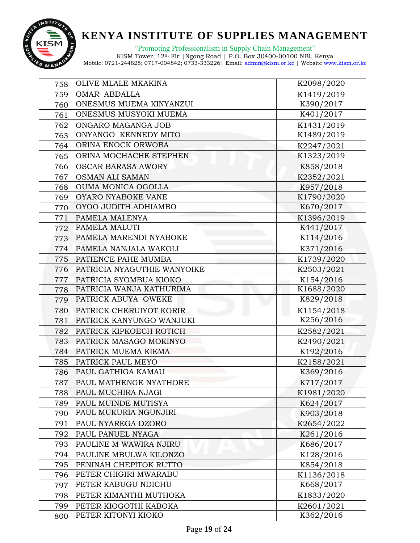

"Promoting Professionalism in Supply Chain Management"

| 758 | OLIVE MLALE MKAKINA                | K2098/2020 |
|-----|------------------------------------|------------|
| 759 | OMAR ABDALLA                       | K1419/2019 |
| 760 | ONESMUS MUEMA KINYANZUI            | K390/2017  |
| 761 | ONESMUS MUSYOKI MUEMA              | K401/2017  |
| 762 | ONGARO MAGANGA JOB                 | K1431/2019 |
| 763 | ONYANGO KENNEDY MITO               | K1489/2019 |
| 764 | ORINA ENOCK ORWOBA                 | K2247/2021 |
| 765 | ORINA MOCHACHE STEPHEN             | K1323/2019 |
| 766 | <b>OSCAR BARASA AWORY</b>          | K858/2018  |
| 767 | <b>OSMAN ALI SAMAN</b>             | K2352/2021 |
| 768 | OUMA MONICA OGOLLA                 | K957/2018  |
| 769 | OYARO NYABOKE VANE                 | K1790/2020 |
| 770 | OYOO JUDITH ADHIAMBO               | K670/2017  |
| 771 | PAMELA MALENYA                     | K1396/2019 |
| 772 | PAMELA MALUTI                      | K441/2017  |
| 773 | PAMELA MARENDI NYABOKE             | K114/2016  |
|     | 774   PAMELA NANJALA WAKOLI        | K371/2016  |
|     | 775   PATIENCE PAHE MUMBA          | K1739/2020 |
| 776 | <b>PATRICIA NYAGUTHIE WANYOIKE</b> | K2503/2021 |
| 777 | PATRICIA SYOMBUA KIOKO             | K154/2016  |
| 778 | PATRICIA WANJA KATHURIMA           | K1688/2020 |
| 779 | PATRICK ABUYA OWEKE                | K829/2018  |
| 780 | PATRICK CHERUIYOT KORIR            | K1154/2018 |
| 781 | PATRICK KANYUNGO WANJUKI           | K256/2016  |
| 782 | PATRICK KIPKOECH ROTICH            | K2582/2021 |
| 783 | PATRICK MASAGO MOKINYO             | K2490/2021 |
| 784 | PATRICK MUEMA KIEMA                | K192/2016  |
| 785 | <b>PATRICK PAUL MEYO</b>           | K2158/2021 |
|     | 786   PAUL GATHIGA KAMAU           | K369/2016  |
| 787 | <b>PAUL MATHENGE NYATHORE</b>      | K717/2017  |
| 788 | PAUL MUCHIRA NJAGI                 | K1981/2020 |
| 789 | PAUL MUINDE MUTISYA                | K624/2017  |
| 790 | PAUL MUKURIA NGUNJIRI              | K903/2018  |
| 791 | PAUL NYAREGA DZORO                 | K2654/2022 |
| 792 | PAUL PANUEL NYAGA                  | K261/2016  |
| 793 | PAULINE M WAWIRA NJIRU             | K686/2017  |
| 794 | PAULINE MBULWA KILONZO             | K128/2016  |
| 795 | PENINAH CHEPITOK RUTTO             | K854/2018  |
| 796 | PETER CHIGIRI MWARABU              | K1136/2018 |
| 797 | PETER KABUGU NDICHU                | K668/2017  |
| 798 | PETER KIMANTHI MUTHOKA             | K1833/2020 |
| 799 | PETER KIOGOTHI KABOKA              | K2601/2021 |
| 800 | PETER KITONYI KIOKO                | K362/2016  |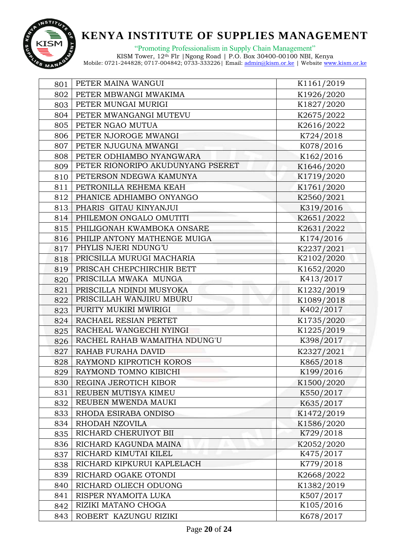

"Promoting Professionalism in Supply Chain Management"

| 801 | PETER MAINA WANGUI                | K1161/2019 |
|-----|-----------------------------------|------------|
| 802 | PETER MBWANGI MWAKIMA             | K1926/2020 |
| 803 | PETER MUNGAI MURIGI               | K1827/2020 |
| 804 | PETER MWANGANGI MUTEVU            | K2675/2022 |
| 805 | PETER NGAO MUTUA                  | K2616/2022 |
| 806 | PETER NJOROGE MWANGI              | K724/2018  |
| 807 | PETER NJUGUNA MWANGI              | K078/2016  |
| 808 | PETER ODHIAMBO NYANGWARA          | K162/2016  |
| 809 | PETER RIONORIPO AKUDUNYANG PSERET | K1646/2020 |
| 810 | PETERSON NDEGWA KAMUNYA           | K1719/2020 |
| 811 | PETRONILLA REHEMA KEAH            | K1761/2020 |
| 812 | PHANICE ADHIAMBO ONYANGO          | K2560/2021 |
|     | 813   PHARIS GITAU KINYANJUI      | K319/2016  |
| 814 | PHILEMON ONGALO OMUTITI           | K2651/2022 |
| 815 | PHILIGONAH KWAMBOKA ONSARE        | K2631/2022 |
| 816 | PHILIP ANTONY MATHENGE MUIGA      | K174/2016  |
| 817 | PHYLIS NJERI NDUNG'U              | K2237/2021 |
| 818 | PRICSILLA MURUGI MACHARIA         | K2102/2020 |
| 819 | PRISCAH CHEPCHIRCHIR BETT         | K1652/2020 |
| 820 | PRISCILLA MWAKA MUNGA             | K413/2017  |
| 821 | PRISCILLA NDINDI MUSYOKA          | K1232/2019 |
| 822 | PRISCILLAH WANJIRU MBURU          | K1089/2018 |
| 823 | PURITY MUKIRI MWIRIGI             | K402/2017  |
| 824 | RACHAEL RESIAN PERTET             | K1735/2020 |
| 825 | RACHEAL WANGECHI NYINGI           | K1225/2019 |
| 826 | RACHEL RAHAB WAMAITHA NDUNG'U     | K398/2017  |
| 827 | RAHAB FURAHA DAVID                | K2327/2021 |
| 828 | RAYMOND KIPROTICH KOROS           | K865/2018  |
| 829 | RAYMOND TOMNO KIBICHI             | K199/2016  |
| 830 | REGINA JEROTICH KIBOR             | K1500/2020 |
| 831 | REUBEN MUTISYA KIMEU              | K550/2017  |
| 832 | REUBEN MWENDA MAUKI               | K635/2017  |
| 833 | RHODA ESIRABA ONDISO              | K1472/2019 |
| 834 | RHODAH NZOVILA                    | K1586/2020 |
| 835 | RICHARD CHERUIYOT BII             | K729/2018  |
| 836 | RICHARD KAGUNDA MAINA             | K2052/2020 |
| 837 | RICHARD KIMUTAI KILEL             | K475/2017  |
| 838 | RICHARD KIPKURUI KAPLELACH        | K779/2018  |
| 839 | RICHARD OGAKE OTONDI              | K2668/2022 |
| 840 | RICHARD OLIECH ODUONG             | K1382/2019 |
| 841 | RISPER NYAMOITA LUKA              | K507/2017  |
| 842 | RIZIKI MATANO CHOGA               | K105/2016  |
| 843 | ROBERT KAZUNGU RIZIKI             | K678/2017  |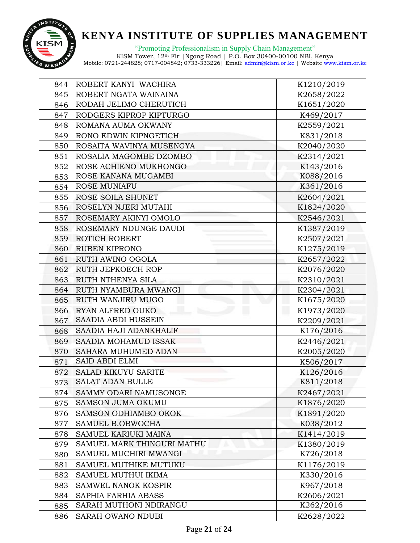

"Promoting Professionalism in Supply Chain Management"

| 844 | ROBERT KANYI WACHIRA       | K1210/2019 |
|-----|----------------------------|------------|
| 845 | ROBERT NGATA WAINAINA      | K2658/2022 |
| 846 | RODAH JELIMO CHERUTICH     | K1651/2020 |
| 847 | RODGERS KIPROP KIPTURGO    | K469/2017  |
| 848 | ROMANA AUMA OKWANY         | K2559/2021 |
| 849 | RONO EDWIN KIPNGETICH      | K831/2018  |
| 850 | ROSAITA WAVINYA MUSENGYA   | K2040/2020 |
| 851 | ROSALIA MAGOMBE DZOMBO     | K2314/2021 |
| 852 | ROSE ACHIENO MUKHONGO      | K143/2016  |
| 853 | ROSE KANANA MUGAMBI        | K088/2016  |
| 854 | <b>ROSE MUNIAFU</b>        | K361/2016  |
| 855 | ROSE SOILA SHUNET          | K2604/2021 |
| 856 | ROSELYN NJERI MUTAHI       | K1824/2020 |
| 857 | ROSEMARY AKINYI OMOLO      | K2546/2021 |
| 858 | ROSEMARY NDUNGE DAUDI      | K1387/2019 |
| 859 | ROTICH ROBERT              | K2507/2021 |
| 860 | RUBEN KIPRONO              | K1275/2019 |
| 861 | <b>RUTH AWINO OGOLA</b>    | K2657/2022 |
| 862 | RUTH JEPKOECH ROP          | K2076/2020 |
| 863 | RUTH NTHENYA SILA          | K2310/2021 |
| 864 | RUTH NYAMBURA MWANGI       | K2304/2021 |
| 865 | <b>RUTH WANJIRU MUGO</b>   | K1675/2020 |
| 866 | RYAN ALFRED OUKO           | K1973/2020 |
| 867 | SAADIA ABDI HUSSEIN        | K2209/2021 |
| 868 | SAADIA HAJI ADANKHALIF     | K176/2016  |
| 869 | SAADIA MOHAMUD ISSAK       | K2446/2021 |
| 870 | SAHARA MUHUMED ADAN        | K2005/2020 |
| 871 | <b>SAID ABDI ELMI</b>      | K506/2017  |
| 872 | SALAD KIKUYU SARITE        | K126/2016  |
| 873 | <b>SALAT ADAN BULLE</b>    | K811/2018  |
| 874 | SAMMY ODARI NAMUSONGE      | K2467/2021 |
| 875 | <b>SAMSON JUMA OKUMU</b>   | K1876/2020 |
| 876 | SAMSON ODHIAMBO OKOK       | K1891/2020 |
| 877 | SAMUEL B.OBWOCHA           | K038/2012  |
| 878 | SAMUEL KARIUKI MAINA       | K1414/2019 |
| 879 | SAMUEL MARK THINGURI MATHU | K1380/2019 |
| 880 | SAMUEL MUCHIRI MWANGI      | K726/2018  |
| 881 | SAMUEL MUTHIKE MUTUKU      | K1176/2019 |
| 882 | SAMUEL MUTHUI IKIMA        | K330/2016  |
| 883 | SAMWEL NANOK KOSPIR        | K967/2018  |
| 884 | SAPHIA FARHIA ABASS        | K2606/2021 |
| 885 | SARAH MUTHONI NDIRANGU     | K262/2016  |
| 886 | SARAH OWANO NDUBI          | K2628/2022 |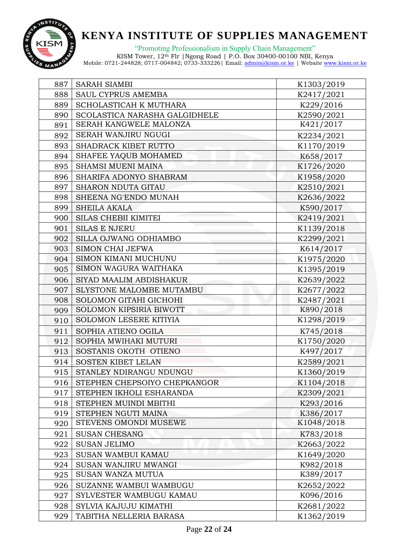

"Promoting Professionalism in Supply Chain Management"

| 887 | <b>SARAH SIAMBI</b>           | K1303/2019 |
|-----|-------------------------------|------------|
| 888 | SAUL CYPRUS AMEMBA            | K2417/2021 |
| 889 | SCHOLASTICAH K MUTHARA        | K229/2016  |
| 890 | SCOLASTICA NARASHA GALGIDHELE | K2590/2021 |
| 891 | SERAH KANGWELE MALONZA        | K421/2017  |
| 892 | SERAH WANJIRU NGUGI           | K2234/2021 |
| 893 | SHADRACK KIBET RUTTO          | K1170/2019 |
| 894 | SHAFEE YAQUB MOHAMED          | K658/2017  |
| 895 | <b>SHAMSI MUENI MAINA</b>     | K1726/2020 |
| 896 | SHARIFA ADONYO SHABRAM        | K1958/2020 |
| 897 | <b>SHARON NDUTA GITAU</b>     | K2510/2021 |
| 898 | SHEENA NG'ENDO MUNAH          | K2636/2022 |
| 899 | <b>SHEILA AKALA</b>           | K590/2017  |
| 900 | <b>SILAS CHEBII KIMITEI</b>   | K2419/2021 |
| 901 | <b>SILAS E NJERU</b>          | K1139/2018 |
| 902 | SILLA OJWANG ODHIAMBO         | K2299/2021 |
| 903 | <b>SIMON CHAI JEFWA</b>       | K614/2017  |
| 904 | SIMON KIMANI MUCHUNU          | K1975/2020 |
| 905 | SIMON WAGURA WAITHAKA         | K1395/2019 |
| 906 | SIYAD MAALIM ABDISHAKUR       | K2639/2022 |
| 907 | SLYSTONE MALOMBE MUTAMBU      | K2677/2022 |
| 908 | SOLOMON GITAHI GICHOHI        | K2487/2021 |
| 909 | SOLOMON KIPSIRIA BIWOTT       | K890/2018  |
| 910 | SOLOMON LESERE KITIYIA        | K1298/2019 |
| 911 | SOPHIA ATIENO OGILA           | K745/2018  |
| 912 | SOPHIA MWIHAKI MUTURI         | K1750/2020 |
| 913 | SOSTANIS OKOTH OTIENO         | K497/2017  |
| 914 | <b>SOSTEN KIBET LELAN</b>     | K2589/2021 |
|     | 915   STANLEY NDIRANGU NDUNGU | K1360/2019 |
| 916 | STEPHEN CHEPSOIYO CHEPKANGOR  | K1104/2018 |
| 917 | STEPHEN IKHOLI ESHARANDA      | K2309/2021 |
| 918 | STEPHEN MUINDI MBITHI         | K293/2016  |
| 919 | STEPHEN NGUTI MAINA           | K386/2017  |
| 920 | STEVENS OMONDI MUSEWE         | K1048/2018 |
| 921 | <b>SUSAN CHESANG</b>          | K783/2018  |
| 922 | <b>SUSAN JELIMO</b>           | K2663/2022 |
| 923 | SUSAN WAMBUI KAMAU            | K1649/2020 |
| 924 | SUSAN WANJIRU MWANGI          | K982/2018  |
| 925 | SUSAN WANZA MUTUA             | K389/2017  |
| 926 | SUZANNE WAMBUI WAMBUGU        | K2652/2022 |
| 927 | SYLVESTER WAMBUGU KAMAU       | K096/2016  |
| 928 | SYLVIA KAJUJU KIMATHI         | K2681/2022 |
| 929 | TABITHA NELLERIA BARASA       | K1362/2019 |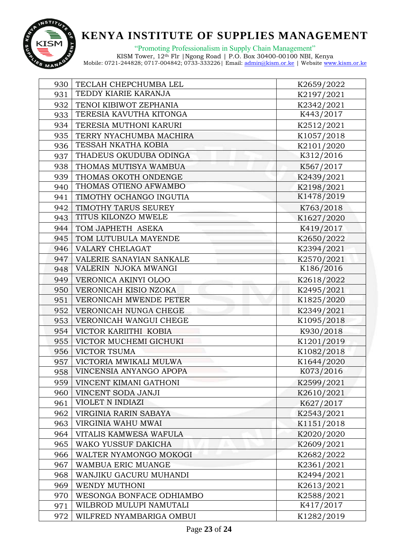

"Promoting Professionalism in Supply Chain Management"

| 930 | TECLAH CHEPCHUMBA LEL           | K2659/2022 |
|-----|---------------------------------|------------|
| 931 | TEDDY KIARIE KARANJA            | K2197/2021 |
| 932 | TENOI KIBIWOT ZEPHANIA          | K2342/2021 |
| 933 | TERESIA KAVUTHA KITONGA         | K443/2017  |
| 934 | TERESIA MUTHONI KARURI          | K2512/2021 |
| 935 | TERRY NYACHUMBA MACHIRA         | K1057/2018 |
| 936 | TESSAH NKATHA KOBIA             | K2101/2020 |
| 937 | THADEUS OKUDUBA ODINGA          | K312/2016  |
| 938 | THOMAS MUTISYA WAMBUA           | K567/2017  |
| 939 | THOMAS OKOTH ONDENGE            | K2439/2021 |
| 940 | THOMAS OTIENO AFWAMBO           | K2198/2021 |
| 941 | TIMOTHY OCHANGO INGUTIA         | K1478/2019 |
| 942 | TIMOTHY TARUS SEUREY            | K763/2018  |
| 943 | TITUS KILONZO MWELE             | K1627/2020 |
| 944 | TOM JAPHETH ASEKA               | K419/2017  |
| 945 | TOM LUTUBULA MAYENDE            | K2650/2022 |
|     | 946   VALARY CHELAGAT           | K2394/2021 |
| 947 | <b>VALERIE SANAYIAN SANKALE</b> | K2570/2021 |
| 948 | VALERIN NJOKA MWANGI            | K186/2016  |
| 949 | VERONICA AKINYI OLOO            | K2618/2022 |
| 950 | VERONICAH KISIO NZOKA           | K2495/2021 |
| 951 | VERONICAH MWENDE PETER          | K1825/2020 |
| 952 | VERONICAH NUNGA CHEGE           | K2349/2021 |
| 953 | VERONICAH WANGUI CHEGE          | K1095/2018 |
| 954 | VICTOR KARIITHI KOBIA           | K930/2018  |
|     | 955   VICTOR MUCHEMI GICHUKI    | K1201/2019 |
| 956 | <b>VICTOR TSUMA</b>             | K1082/2018 |
| 957 | VICTORIA MWIKALI MULWA          | K1644/2020 |
| 958 | <b>VINCENSIA ANYANGO APOPA</b>  | K073/2016  |
| 959 | VINCENT KIMANI GATHONI          | K2599/2021 |
| 960 | VINCENT SODA JANJI              | K2610/2021 |
| 961 | VIOLET N INDIAZI                | K627/2017  |
| 962 | VIRGINIA RARIN SABAYA           | K2543/2021 |
| 963 | VIRGINIA WAHU MWAI              | K1151/2018 |
| 964 | VITALIS KAMWESA WAFULA          | K2020/2020 |
| 965 | WAKO YUSSUF DAKICHA             | K2609/2021 |
| 966 | WALTER NYAMONGO MOKOGI          | K2682/2022 |
| 967 | WAMBUA ERIC MUANGE              | K2361/2021 |
| 968 | WANJIKU GACURU MUHANDI          | K2494/2021 |
| 969 | WENDY MUTHONI                   | K2613/2021 |
| 970 | WESONGA BONFACE ODHIAMBO        | K2588/2021 |
| 971 | WILBROD MULUPI NAMUTALI         | K417/2017  |
| 972 | WILFRED NYAMBARIGA OMBUI        | K1282/2019 |